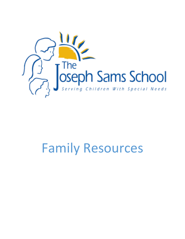

# Family Resources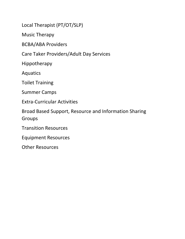Local Therapist (PT/OT/SLP)

Music Therapy

BCBA/ABA Providers

Care Taker Providers/Adult Day Services

Hippotherapy

Aquatics

Toilet Training

Summer Camps

Extra-Curricular Activities

Broad Based Support, Resource and Information Sharing Groups

Transition Resources

Equipment Resources

Other Resources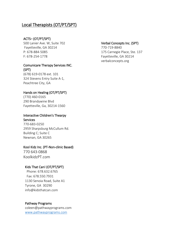# Local Therapists (OT/PT/SPT)

## ACTS– (OT/PT/SPT)

500 Lanier Ave. W, Suite 702 Fayetteville, GA 30214 P: 678-884-5085 F: 678-254-1778

## Comunicare Therapy Services INC. (SPT) (678) 619-0178 ext. 101

324 Stevens Entry Suite A-1, Peachtree City, GA

## Hands on Healing (OT/PT/SPT)

(770) 460-0165 290 Brandywine Blvd Fayetteville, Ga, 30214-1560

## Interacitve Children's Thearpy **Services**

770-683-0250 2959 Sharpsburg McCullum Rd. Building C; Suite C Newnan, GA 30265

## Kool Kidz Inc. (PT-Non-clinic Based)

770 643-0868 KoolkidzPT.com

## Kids That Can! (OT/PT/SPT)

Phone: 678.632.6765 Fax: 678.550.7931 1130 Senoia Road, Suite A1 Tyrone, GA 30290 info@kidsthatcan.com

#### Pathway Programs

coleen@pathwayprograms.com [www.pathwayprograms.com](http://www.pathwayprograms.com/)

### Verbal Concepts Inc. (SPT)

770-719-8840 175 Carnegie Place, Ste. 137 Fayetteville, GA 30214 verbalconcepts.org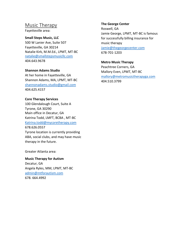# Music Therapy

Fayetteville area:

#### **Small Steps Music, LLC**

500 W Lanier Ave, Suite 507 Fayetteville, GA 30214 Natalie Kirk, M.M.Ed., LPMT, MT-BC [natalie@smallstepsmusicllc.com](mailto:natalie@smallstepsmusicllc.com) 404.643.9678

#### **Shannon Adams Studio**

At her home in Fayetteville, GA Shannon Adams, MA, LPMT, MT-BC [shannonadams.studio@gmail.com](mailto:shannonadams.studio@gmail.com) 404.625.4157

#### **Core Therapy Services**

100 Glendalough Court, Suite A Tyrone, GA 30290 Main office in Decatur, GA Katrina Todd, LMFT, BCBA , MT-BC [Katrina.todd@mycoretherapy.com](mailto:Katrina.todd@mycoretherapy.com) 678.626.0557 Tyrone location is currently providing ABA, social clubs, and may have music therapy in the future.

Greater Atlanta area:

**Music Therapy for Autism** Decatur, GA Angela Ryles, MM, LPMT, MT-BC [admin@mtforautism.com](mailto:admin@mtforautism.com) 678. 664.4992

#### **The George Center**

Roswell, GA Jamie George, LPMT, MT-BC is famous for successfully billing insurance for music therapy [Jamie@thegeorgecenter.com](mailto:Jamie@thegeorgecenter.com) 678-701-1203

## **Metro Music Therapy**

Peachtree Corners, GA Mallory Even, LPMT, MT-BC [mallory@metromusictherapyga.com](mailto:mallory@metromusictherapyga.com) 404.510.3799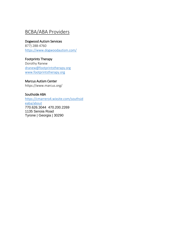# BCBA/ABA Providers

### Dogwood Autism Services

877) 288-4760 <https://www.dogwoodautism.com/>

## Footprints Therapy

Dorothy Ranew [dranew@footprintstherapy.org](mailto:dranew@footprintstherapy.org) [www.footprintstherapy.org](http://www.footprintstherapy.org/)

## Marcus Autism Center

https://www.marcus.org/

## Southside ABA

[https://cmarrero4.wixsite.com/southsid](https://cmarrero4.wixsite.com/southsideaba/about) [eaba/about](https://cmarrero4.wixsite.com/southsideaba/about) 770.626.3044 470.200.2269 1135 Senoia Road Tyrone | Georgia | 30290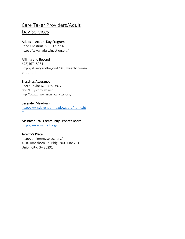# Care Taker Providers/Adult

# Day Services

## Adults in Action- Day Program

Rene Chestnut 770-312-2707 https://www.adultsinaction.org/

## Affinity and Beyond

678)467- 8964 http://affinityandbeyond2010.weebly.com/a bout.html

## Blessings Assurance

Sheila Taylor 678-469-3977 [tayl3978@comcast.net](mailto:tayl3978@comcast.net) http://www.bsacommunityservices.org/

## Lavender Meadows

[http://www.lavendermeadows.org/home.ht](http://www.lavendermeadows.org/home.html) [ml](http://www.lavendermeadows.org/home.html)

## McIntosh Trail Community Services Board

<http://www.mctrail.org/>

## Jeremy's Place

<http://thejeremysplace.org/> 4910 Jonesboro Rd. Bldg. 200 Suite 201 Union City, GA 30291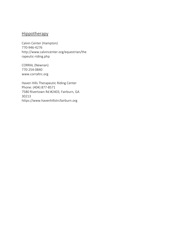# Hippotherapy

Calvin Center (Hampton) 770-946-4276 http://www.calvincenter.org/equestrian/the rapeutic-riding.php

CORRAL (Newnan) 770-254-0840 www.corraltrc.org

Haven Hills Therapeutic Riding Center Phone: (404) 877-8571 7580 Rivertown Rd #2403, Fairburn, GA 30213 https://www.havenhillstrcfairburn.org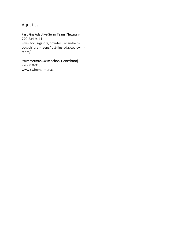# **Aquatics**

# Fast Fins Adaptive Swim Team (Newnan)

770-234-9111 www.focus-ga.org/how-focus-can-helpyou/children-teens/fast-fins-adapted-swimteam/

# Swimmerman Swim School (Jonesboro)

770-210-0136 www.swimmerman.com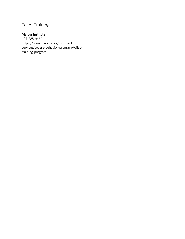# Toilet Training

## Marcus Institute

404-785-9464 https://www.marcus.org/care-andservices/severe-behavior-program/toilettraining-program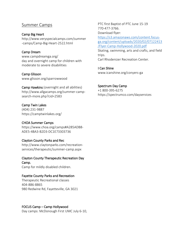# Summer Camps

## Camp Big Heart

[http://www.veryspecialcamps.com/summer](http://www.veryspecialcamps.com/summer-camps/Camp-Big-Heart-2522.html) [-camps/Camp-Big-Heart-2522.html](http://www.veryspecialcamps.com/summer-camps/Camp-Big-Heart-2522.html)

## Camp Dream

www.campdreamga.org/ day and overnight camp for children with moderate to severe disabilities

## Camp Glisson

[www.glisson.org/sparrowwood](http://www.glisson.org/sparrowwood)

Camp Hawkins (overnight and all abilities) http://www.allgacamps.org/summer-campsearch-more.php?cid=2583

## Camp Twin Lakes

(404) 231-9887 https://camptwinlakes.org/

## CHOA Summer Camps

[https://www.choa.org/camps#A285ADB8-](https://www.choa.org/camps#A285ADB8-ADE5-4BA3-B2D3-DC1E73303736) [ADE5-4BA3-B2D3-DC1E73303736](https://www.choa.org/camps#A285ADB8-ADE5-4BA3-B2D3-DC1E73303736)

## Clayton County Parks and Rec

http://www.claytonparks.com/recreationservices/therapeutic/summer-camp.aspx

## Clayton County Therapeutic Recreation Day Camp.

Camp for mildly disabled children.

## Fayette County Parks and Recreation

Therapeutic Recreational classes 404-886-8865 980 Redwine Rd, Fayetteville, GA 3021

## FOCUS Camp – Camp Hollywood

Day camps: McDonough First UMC July 6-10,

PTC first Baptist of PTC June 15-19 770-477-3766. Download flyer: [https://s3.amazonaws.com/content.focus](https://s3.amazonaws.com/content.focus-ga.org/content/uploads/2020/02/07122413/Flyer-Camp-Hollywood-2020.pdf)[ga.org/content/uploads/2020/02/07122413](https://s3.amazonaws.com/content.focus-ga.org/content/uploads/2020/02/07122413/Flyer-Camp-Hollywood-2020.pdf) [/Flyer-Camp-Hollywood-2020.pdf](https://s3.amazonaws.com/content.focus-ga.org/content/uploads/2020/02/07122413/Flyer-Camp-Hollywood-2020.pdf) Skating, swimming, arts and crafts, and field trips. Carl Rhodenizer Recreation Center.

I Can Shine www.icanshine.org/conyers-ga

## Spectrum Day Camp

+1 800-395-6275 https://spectrumco.com/dayservices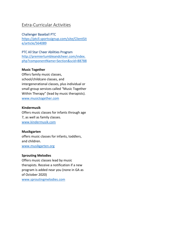# Extra-Curricular Activities

### Challenger Baseball PTC

[https://ptcll.sportssignup.com/site/ClientSit](https://ptcll.sportssignup.com/site/ClientSite/article/564089) [e/article/564089](https://ptcll.sportssignup.com/site/ClientSite/article/564089)

#### PTC All Star Cheer Abilities Program

[http://premiertumbleandcheer.com/index.](http://premiertumbleandcheer.com/index.php?componentName=Section&scid=88788) [php?componentName=Section&scid=88788](http://premiertumbleandcheer.com/index.php?componentName=Section&scid=88788)

#### **Music Together**

Offers family music classes, school/childcare classes, and intergenerational classes, plus individual or small group services called "Music Together Within Therapy" (lead by music therapists). [www.musictogether.com](http://www.musictogether.com/)

#### **Kindermusik**

Offers music classes for infants through age 7, as well as family classes. [www.kindermusik.com](http://www.kindermusik.com/)

#### **Musikgarten**

offers music classes for infants, toddlers, and children. [www.musikgarten.org](http://www.musikgarten.org/)

#### **Sprouting Melodies**

Offers music classes lead by music therapists. Receive a notification if a new program is added near you (none in GA as of October 2020) [www.sproutingmelodies.com](http://www.sproutingmelodies.com/)